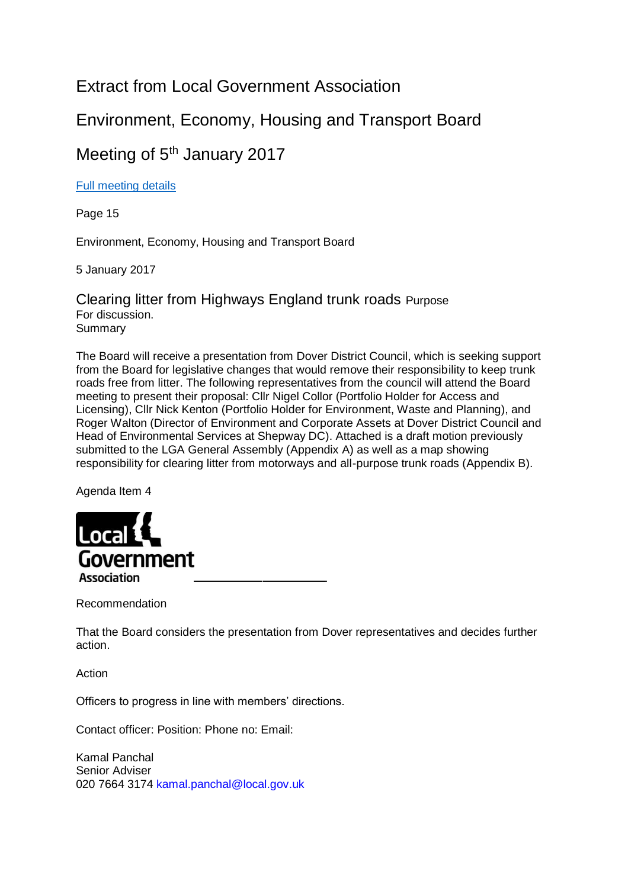## Extract from Local Government Association

# Environment, Economy, Housing and Transport Board

## Meeting of 5<sup>th</sup> January 2017

### [Full meeting details](http://lga.moderngov.co.uk/documents/g3463/Public%20reports%20pack%2005th-Jan-2017%2011.00%20Environment%20Economy%20Housing%20Transport%20Board.pdf?T=10)

Page 15

Environment, Economy, Housing and Transport Board

5 January 2017

Clearing litter from Highways England trunk roads Purpose For discussion. Summary

The Board will receive a presentation from Dover District Council, which is seeking support from the Board for legislative changes that would remove their responsibility to keep trunk roads free from litter. The following representatives from the council will attend the Board meeting to present their proposal: Cllr Nigel Collor (Portfolio Holder for Access and Licensing), Cllr Nick Kenton (Portfolio Holder for Environment, Waste and Planning), and Roger Walton (Director of Environment and Corporate Assets at Dover District Council and Head of Environmental Services at Shepway DC). Attached is a draft motion previously submitted to the LGA General Assembly (Appendix A) as well as a map showing responsibility for clearing litter from motorways and all-purpose trunk roads (Appendix B).

Agenda Item 4



Recommendation

That the Board considers the presentation from Dover representatives and decides further action.

Action

Officers to progress in line with members' directions.

Contact officer: Position: Phone no: Email:

Kamal Panchal Senior Adviser 020 7664 3174 kamal.panchal@local.gov.uk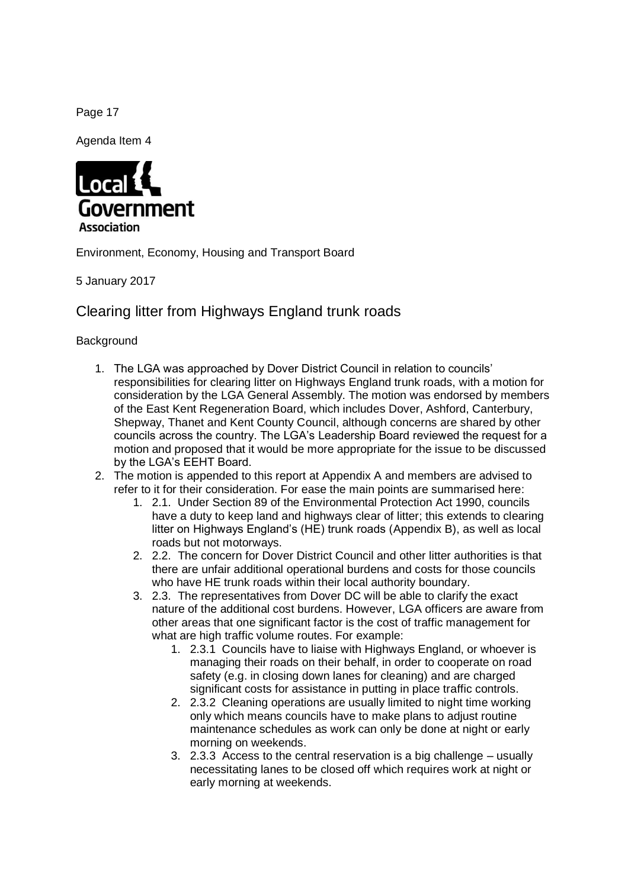Page 17

Agenda Item 4



Environment, Economy, Housing and Transport Board

5 January 2017

Clearing litter from Highways England trunk roads

**Background** 

- 1. The LGA was approached by Dover District Council in relation to councils' responsibilities for clearing litter on Highways England trunk roads, with a motion for consideration by the LGA General Assembly. The motion was endorsed by members of the East Kent Regeneration Board, which includes Dover, Ashford, Canterbury, Shepway, Thanet and Kent County Council, although concerns are shared by other councils across the country. The LGA's Leadership Board reviewed the request for a motion and proposed that it would be more appropriate for the issue to be discussed by the LGA's EEHT Board.
- 2. The motion is appended to this report at Appendix A and members are advised to refer to it for their consideration. For ease the main points are summarised here:
	- 1. 2.1. Under Section 89 of the Environmental Protection Act 1990, councils have a duty to keep land and highways clear of litter; this extends to clearing litter on Highways England's (HE) trunk roads (Appendix B), as well as local roads but not motorways.
	- 2. 2.2. The concern for Dover District Council and other litter authorities is that there are unfair additional operational burdens and costs for those councils who have HE trunk roads within their local authority boundary.
	- 3. 2.3. The representatives from Dover DC will be able to clarify the exact nature of the additional cost burdens. However, LGA officers are aware from other areas that one significant factor is the cost of traffic management for what are high traffic volume routes. For example:
		- 1. 2.3.1 Councils have to liaise with Highways England, or whoever is managing their roads on their behalf, in order to cooperate on road safety (e.g. in closing down lanes for cleaning) and are charged significant costs for assistance in putting in place traffic controls.
		- 2. 2.3.2 Cleaning operations are usually limited to night time working only which means councils have to make plans to adjust routine maintenance schedules as work can only be done at night or early morning on weekends.
		- 3. 2.3.3 Access to the central reservation is a big challenge usually necessitating lanes to be closed off which requires work at night or early morning at weekends.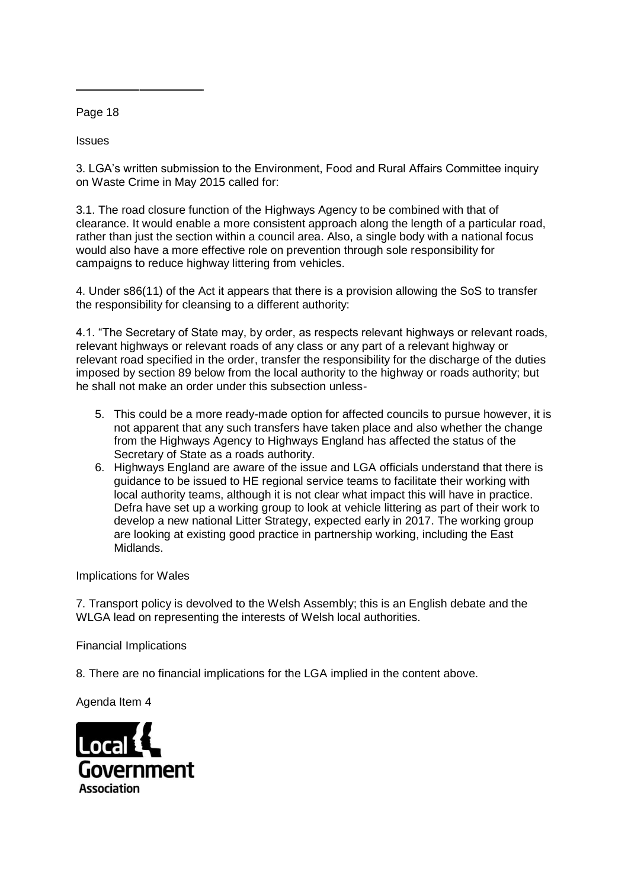Page 18

**Issues** 

3. LGA's written submission to the Environment, Food and Rural Affairs Committee inquiry on Waste Crime in May 2015 called for:

3.1. The road closure function of the Highways Agency to be combined with that of clearance. It would enable a more consistent approach along the length of a particular road, rather than just the section within a council area. Also, a single body with a national focus would also have a more effective role on prevention through sole responsibility for campaigns to reduce highway littering from vehicles.

4. Under s86(11) of the Act it appears that there is a provision allowing the SoS to transfer the responsibility for cleansing to a different authority:

4.1. "The Secretary of State may, by order, as respects relevant highways or relevant roads, relevant highways or relevant roads of any class or any part of a relevant highway or relevant road specified in the order, transfer the responsibility for the discharge of the duties imposed by section 89 below from the local authority to the highway or roads authority; but he shall not make an order under this subsection unless-

- 5. This could be a more ready-made option for affected councils to pursue however, it is not apparent that any such transfers have taken place and also whether the change from the Highways Agency to Highways England has affected the status of the Secretary of State as a roads authority.
- 6. Highways England are aware of the issue and LGA officials understand that there is guidance to be issued to HE regional service teams to facilitate their working with local authority teams, although it is not clear what impact this will have in practice. Defra have set up a working group to look at vehicle littering as part of their work to develop a new national Litter Strategy, expected early in 2017. The working group are looking at existing good practice in partnership working, including the East Midlands.

Implications for Wales

7. Transport policy is devolved to the Welsh Assembly; this is an English debate and the WLGA lead on representing the interests of Welsh local authorities.

Financial Implications

8. There are no financial implications for the LGA implied in the content above.

Agenda Item 4

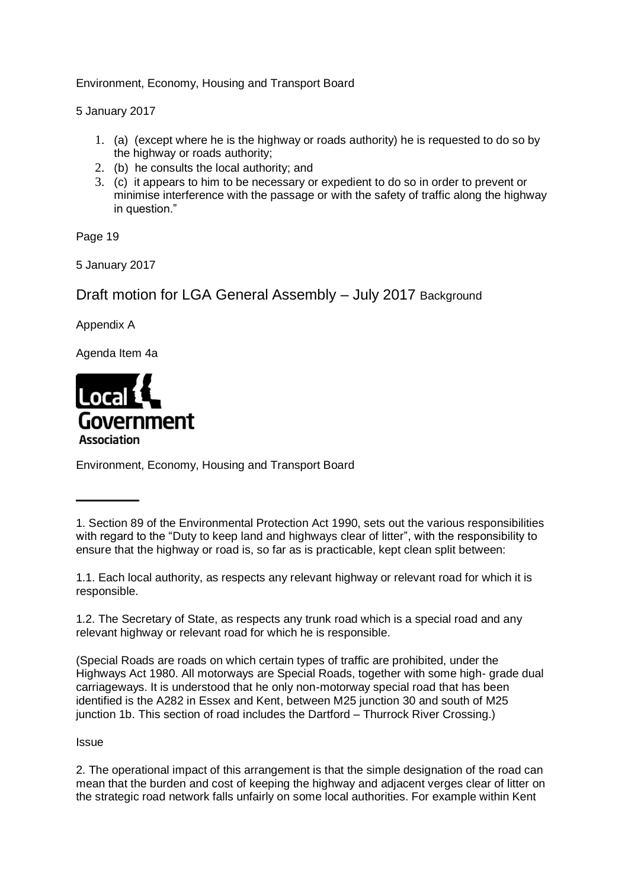Environment, Economy, Housing and Transport Board

5 January 2017

- 1. (a) (except where he is the highway or roads authority) he is requested to do so by the highway or roads authority;
- 2. (b) he consults the local authority; and
- 3. (c) it appears to him to be necessary or expedient to do so in order to prevent or minimise interference with the passage or with the safety of traffic along the highway in question."

Page 19

5 January 2017

Draft motion for LGA General Assembly – July 2017 Background

Appendix A

Agenda Item 4a



Environment, Economy, Housing and Transport Board

### **Issue**

2. The operational impact of this arrangement is that the simple designation of the road can mean that the burden and cost of keeping the highway and adjacent verges clear of litter on the strategic road network falls unfairly on some local authorities. For example within Kent

<sup>1.</sup> Section 89 of the Environmental Protection Act 1990, sets out the various responsibilities with regard to the "Duty to keep land and highways clear of litter", with the responsibility to ensure that the highway or road is, so far as is practicable, kept clean split between:

<sup>1.1.</sup> Each local authority, as respects any relevant highway or relevant road for which it is responsible.

<sup>1.2.</sup> The Secretary of State, as respects any trunk road which is a special road and any relevant highway or relevant road for which he is responsible.

<sup>(</sup>Special Roads are roads on which certain types of traffic are prohibited, under the Highways Act 1980. All motorways are Special Roads, together with some high- grade dual carriageways. It is understood that he only non-motorway special road that has been identified is the A282 in Essex and Kent, between M25 junction 30 and south of M25 junction 1b. This section of road includes the Dartford – Thurrock River Crossing.)